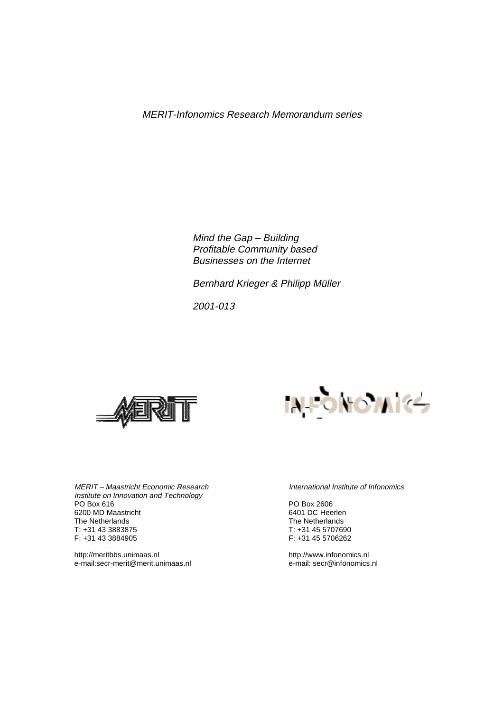MERIT-Infonomics Research Memorandum series

Mind the Gap – Building Profitable Community based Businesses on the Internet

Bernhard Krieger & Philipp Müller

2001-013



MERIT – Maastricht Economic Research Institute on Innovation and Technology PO Box 616 6200 MD Maastricht The Netherlands T: +31 43 3883875 F: +31 43 3884905

http://meritbbs.unimaas.nl e-mail:secr-merit@merit.unimaas.nl



#### International Institute of Infonomics

PO Box 2606 6401 DC Heerlen The Netherlands T: +31 45 5707690 F: +31 45 5706262

http://www.infonomics.nl e-mail: secr@infonomics.nl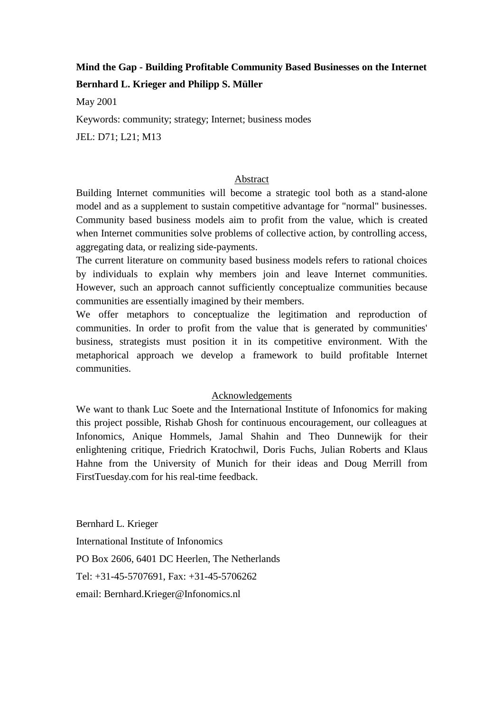# **Mind the Gap - Building Profitable Community Based Businesses on the Internet Bernhard L. Krieger and Philipp S. Müller**

May 2001

Keywords: community; strategy; Internet; business modes

JEL: D71; L21; M13

# Abstract

Building Internet communities will become a strategic tool both as a stand-alone model and as a supplement to sustain competitive advantage for "normal" businesses. Community based business models aim to profit from the value, which is created when Internet communities solve problems of collective action, by controlling access, aggregating data, or realizing side-payments.

The current literature on community based business models refers to rational choices by individuals to explain why members join and leave Internet communities. However, such an approach cannot sufficiently conceptualize communities because communities are essentially imagined by their members.

We offer metaphors to conceptualize the legitimation and reproduction of communities. In order to profit from the value that is generated by communities' business, strategists must position it in its competitive environment. With the metaphorical approach we develop a framework to build profitable Internet communities.

# Acknowledgements

We want to thank Luc Soete and the International Institute of Infonomics for making this project possible, Rishab Ghosh for continuous encouragement, our colleagues at Infonomics, Anique Hommels, Jamal Shahin and Theo Dunnewijk for their enlightening critique, Friedrich Kratochwil, Doris Fuchs, Julian Roberts and Klaus Hahne from the University of Munich for their ideas and Doug Merrill from FirstTuesday.com for his real-time feedback.

Bernhard L. Krieger International Institute of Infonomics PO Box 2606, 6401 DC Heerlen, The Netherlands Tel: +31-45-5707691, Fax: +31-45-5706262 email: Bernhard.Krieger@Infonomics.nl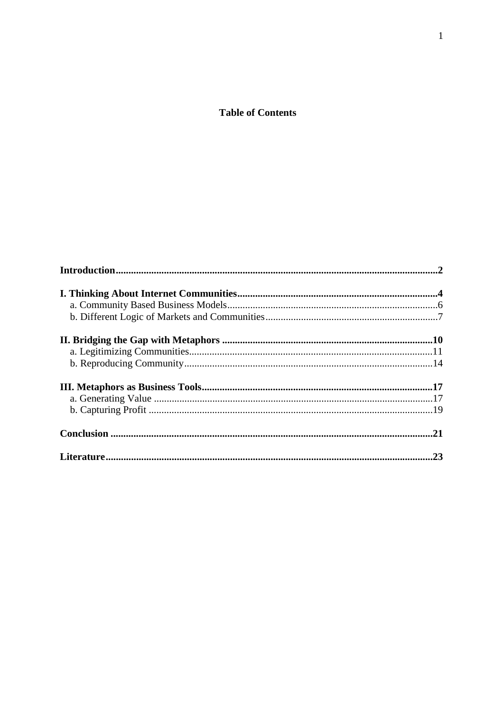# **Table of Contents**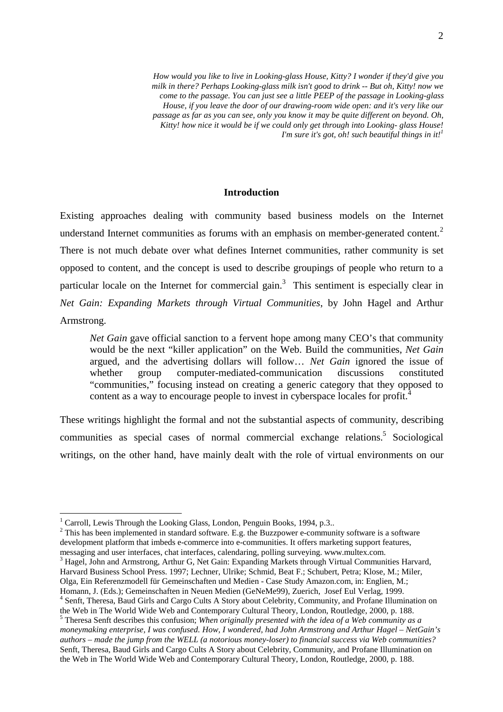*How would you like to live in Looking-glass House, Kitty? I wonder if they'd give you milk in there? Perhaps Looking-glass milk isn't good to drink -- But oh, Kitty! now we come to the passage. You can just see a little PEEP of the passage in Looking-glass House, if you leave the door of our drawing-room wide open: and it's very like our passage as far as you can see, only you know it may be quite different on beyond. Oh, Kitty! how nice it would be if we could only get through into Looking- glass House! I'm sure it's got, oh! such beautiful things in it!*<sup>1</sup>

#### **Introduction**

Existing approaches dealing with community based business models on the Internet understand Internet communities as forums with an emphasis on member-generated content.<sup>2</sup> There is not much debate over what defines Internet communities, rather community is set opposed to content, and the concept is used to describe groupings of people who return to a particular locale on the Internet for commercial gain.<sup>3</sup> This sentiment is especially clear in *Net Gain: Expanding Markets through Virtual Communities*, by John Hagel and Arthur Armstrong.

*Net Gain* gave official sanction to a fervent hope among many CEO's that community would be the next "killer application" on the Web. Build the communities, *Net Gain* argued, and the advertising dollars will follow… *Net Gain* ignored the issue of whether group computer-mediated-communication discussions constituted "communities," focusing instead on creating a generic category that they opposed to content as a way to encourage people to invest in cyberspace locales for profit.<sup>4</sup>

These writings highlight the formal and not the substantial aspects of community, describing communities as special cases of normal commercial exchange relations.<sup>5</sup> Sociological writings, on the other hand, have mainly dealt with the role of virtual environments on our

*moneymaking enterprise, I was confused. How, I wondered, had John Armstrong and Arthur Hagel – NetGain's authors – made the jump from the WELL (a notorious money-loser) to financial success via Web communities?* Senft, Theresa, Baud Girls and Cargo Cults A Story about Celebrity, Community, and Profane Illumination on the Web in The World Wide Web and Contemporary Cultural Theory, London, Routledge, 2000, p. 188.

<sup>&</sup>lt;sup>1</sup> Carroll, Lewis Through the Looking Glass, London, Penguin Books, 1994, p.3..

<sup>&</sup>lt;sup>2</sup> This has been implemented in standard software. E.g. the Buzzpower e-community software is a software development platform that imbeds e-commerce into e-communities. It offers marketing support features, messaging and user interfaces, chat interfaces, calendaring, polling surveying. www.multex.com.

<sup>&</sup>lt;sup>3</sup> Hagel, John and Armstrong, Arthur G, Net Gain: Expanding Markets through Virtual Communities Harvard, Harvard Business School Press. 1997; Lechner, Ulrike; Schmid, Beat F.; Schubert, Petra; Klose, M.; Miler, Olga, Ein Referenzmodell für Gemeinschaften und Medien - Case Study Amazon.com, in: Englien, M.;

Homann, J. (Eds.); Gemeinschaften in Neuen Medien (GeNeMe99), Zuerich, Josef Eul Verlag, 1999.

<sup>&</sup>lt;sup>4</sup> Senft, Theresa, Baud Girls and Cargo Cults A Story about Celebrity, Community, and Profane Illumination on the Web in The World Wide Web and Contemporary Cultural Theory, London, Routledge, 2000, p. 188. 5 Theresa Senft describes this confusion; *When originally presented with the idea of a Web community as a*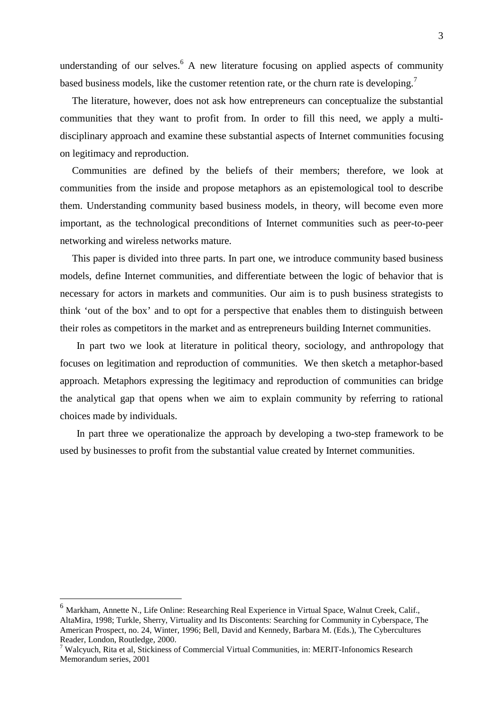understanding of our selves.<sup>6</sup> A new literature focusing on applied aspects of community based business models, like the customer retention rate, or the churn rate is developing.<sup>7</sup>

The literature, however, does not ask how entrepreneurs can conceptualize the substantial communities that they want to profit from. In order to fill this need, we apply a multidisciplinary approach and examine these substantial aspects of Internet communities focusing on legitimacy and reproduction.

Communities are defined by the beliefs of their members; therefore, we look at communities from the inside and propose metaphors as an epistemological tool to describe them. Understanding community based business models, in theory, will become even more important, as the technological preconditions of Internet communities such as peer-to-peer networking and wireless networks mature.

This paper is divided into three parts. In part one, we introduce community based business models, define Internet communities, and differentiate between the logic of behavior that is necessary for actors in markets and communities. Our aim is to push business strategists to think 'out of the box' and to opt for a perspective that enables them to distinguish between their roles as competitors in the market and as entrepreneurs building Internet communities.

In part two we look at literature in political theory, sociology, and anthropology that focuses on legitimation and reproduction of communities. We then sketch a metaphor-based approach. Metaphors expressing the legitimacy and reproduction of communities can bridge the analytical gap that opens when we aim to explain community by referring to rational choices made by individuals.

In part three we operationalize the approach by developing a two-step framework to be used by businesses to profit from the substantial value created by Internet communities.

<sup>6</sup> Markham, Annette N., Life Online: Researching Real Experience in Virtual Space, Walnut Creek, Calif., AltaMira, 1998; Turkle, Sherry, Virtuality and Its Discontents: Searching for Community in Cyberspace, The American Prospect, no. 24, Winter, 1996; Bell, David and Kennedy, Barbara M. (Eds.), The Cybercultures Reader, London, Routledge, 2000.

Walcyuch, Rita et al, Stickiness of Commercial Virtual Communities, in: MERIT-Infonomics Research Memorandum series, 2001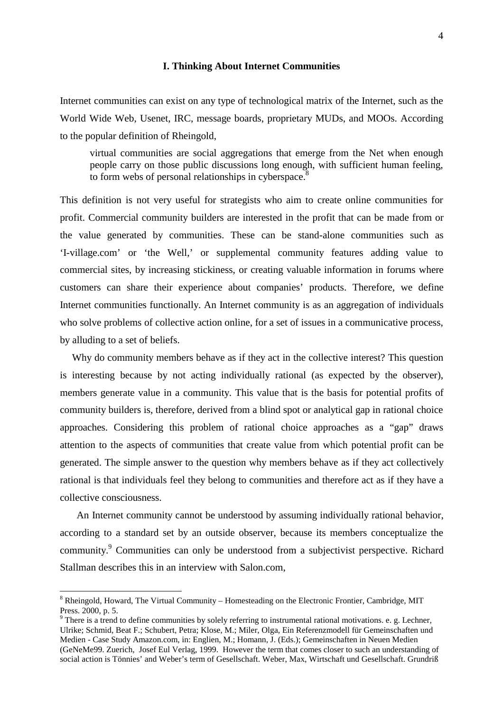#### **I. Thinking About Internet Communities**

Internet communities can exist on any type of technological matrix of the Internet, such as the World Wide Web, Usenet, IRC, message boards, proprietary MUDs, and MOOs. According to the popular definition of Rheingold,

virtual communities are social aggregations that emerge from the Net when enough people carry on those public discussions long enough, with sufficient human feeling, to form webs of personal relationships in cyberspace.<sup>8</sup>

This definition is not very useful for strategists who aim to create online communities for profit. Commercial community builders are interested in the profit that can be made from or the value generated by communities. These can be stand-alone communities such as 'I-village.com' or 'the Well,' or supplemental community features adding value to commercial sites, by increasing stickiness, or creating valuable information in forums where customers can share their experience about companies' products. Therefore, we define Internet communities functionally. An Internet community is as an aggregation of individuals who solve problems of collective action online, for a set of issues in a communicative process, by alluding to a set of beliefs.

Why do community members behave as if they act in the collective interest? This question is interesting because by not acting individually rational (as expected by the observer), members generate value in a community. This value that is the basis for potential profits of community builders is, therefore, derived from a blind spot or analytical gap in rational choice approaches. Considering this problem of rational choice approaches as a "gap" draws attention to the aspects of communities that create value from which potential profit can be generated. The simple answer to the question why members behave as if they act collectively rational is that individuals feel they belong to communities and therefore act as if they have a collective consciousness.

An Internet community cannot be understood by assuming individually rational behavior, according to a standard set by an outside observer, because its members conceptualize the community.<sup>9</sup> Communities can only be understood from a subjectivist perspective. Richard Stallman describes this in an interview with Salon.com,

<sup>&</sup>lt;sup>8</sup> Rheingold, Howard, The Virtual Community - Homesteading on the Electronic Frontier, Cambridge, MIT Press. 2000, p. 5.

<sup>&</sup>lt;sup>9</sup> There is a trend to define communities by solely referring to instrumental rational motivations. e. g. Lechner, Ulrike; Schmid, Beat F.; Schubert, Petra; Klose, M.; Miler, Olga, Ein Referenzmodell für Gemeinschaften und Medien - Case Study Amazon.com, in: Englien, M.; Homann, J. (Eds.); Gemeinschaften in Neuen Medien (GeNeMe99. Zuerich, Josef Eul Verlag, 1999. However the term that comes closer to such an understanding of social action is Tönnies' and Weber's term of Gesellschaft. Weber, Max, Wirtschaft und Gesellschaft. Grundriß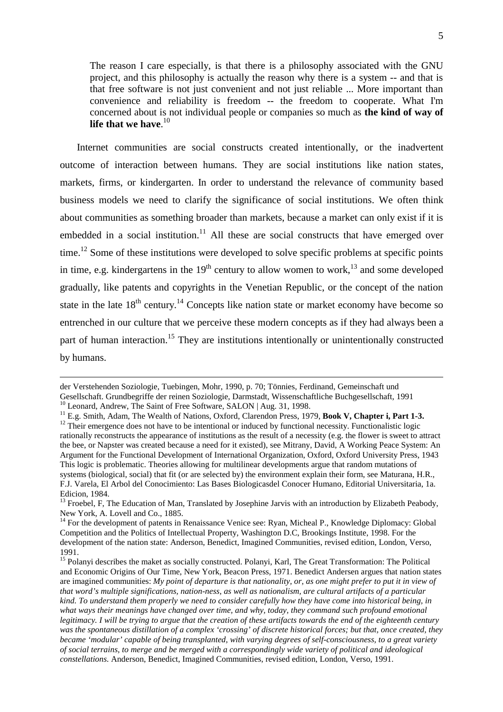The reason I care especially, is that there is a philosophy associated with the GNU project, and this philosophy is actually the reason why there is a system -- and that is that free software is not just convenient and not just reliable ... More important than convenience and reliability is freedom -- the freedom to cooperate. What I'm concerned about is not individual people or companies so much as **the kind of way of life that we have**. 10

Internet communities are social constructs created intentionally, or the inadvertent outcome of interaction between humans. They are social institutions like nation states, markets, firms, or kindergarten. In order to understand the relevance of community based business models we need to clarify the significance of social institutions. We often think about communities as something broader than markets, because a market can only exist if it is embedded in a social institution.<sup>11</sup> All these are social constructs that have emerged over time.<sup>12</sup> Some of these institutions were developed to solve specific problems at specific points in time, e.g. kindergartens in the  $19<sup>th</sup>$  century to allow women to work,<sup>13</sup> and some developed gradually, like patents and copyrights in the Venetian Republic, or the concept of the nation state in the late  $18<sup>th</sup>$  century.<sup>14</sup> Concepts like nation state or market economy have become so entrenched in our culture that we perceive these modern concepts as if they had always been a part of human interaction.<sup>15</sup> They are institutions intentionally or unintentionally constructed by humans.

der Verstehenden Soziologie, Tuebingen, Mohr, 1990, p. 70; Tönnies, Ferdinand, Gemeinschaft und Gesellschaft. Grundbegriffe der reinen Soziologie, Darmstadt, Wissenschaftliche Buchgesellschaft, 1991

<sup>&</sup>lt;sup>10</sup> Leonard, Andrew, The Saint of Free Software, SALON | Aug. 31, 1998.<br><sup>11</sup> E.g. Smith, Adam, The Wealth of Nations, Oxford, Clarendon Press, 1979, **Book V, Chapter i, Part 1-3.** <sup>12</sup> Their emergence does not have to be intentional or induced by functional necessity. Functionalistic logic rationally reconstructs the appearance of institutions as the result of a necessity (e.g. the flower is sweet to attract the bee, or Napster was created because a need for it existed), see Mitrany, David, A Working Peace System: An Argument for the Functional Development of International Organization, Oxford, Oxford University Press, 1943 This logic is problematic. Theories allowing for multilinear developments argue that random mutations of systems (biological, social) that fit (or are selected by) the environment explain their form, see Maturana, H.R., F.J. Varela, El Arbol del Conocimiento: Las Bases Biologicasdel Conocer Humano, Editorial Universitaria, 1a. Edicion, 1984.

<sup>&</sup>lt;sup>13</sup> Froebel, F, The Education of Man, Translated by Josephine Jarvis with an introduction by Elizabeth Peabody, New York, A. Lovell and Co., 1885.

<sup>&</sup>lt;sup>14</sup> For the development of patents in Renaissance Venice see: Ryan, Micheal P., Knowledge Diplomacy: Global Competition and the Politics of Intellectual Property, Washington D.C, Brookings Institute, 1998. For the development of the nation state: Anderson, Benedict, Imagined Communities, revised edition, London, Verso, 1991.

<sup>&</sup>lt;sup>15</sup> Polanyi describes the maket as socially constructed. Polanyi, Karl, The Great Transformation: The Political and Economic Origins of Our Time, New York, Beacon Press, 1971. Benedict Andersen argues that nation states are imagined communities: *My point of departure is that nationality, or, as one might prefer to put it in view of that word's multiple significations, nation-ness, as well as nationalism, are cultural artifacts of a particular kind. To understand them properly we need to consider carefully how they have come into historical being, in what ways their meanings have changed over time, and why, today, they command such profound emotional legitimacy. I will be trying to argue that the creation of these artifacts towards the end of the eighteenth century was the spontaneous distillation of a complex 'crossing' of discrete historical forces; but that, once created, they became 'modular' capable of being transplanted, with varying degrees of self-consciousness, to a great variety of social terrains, to merge and be merged with a correspondingly wide variety of political and ideological constellations.* Anderson, Benedict, Imagined Communities, revised edition, London, Verso, 1991.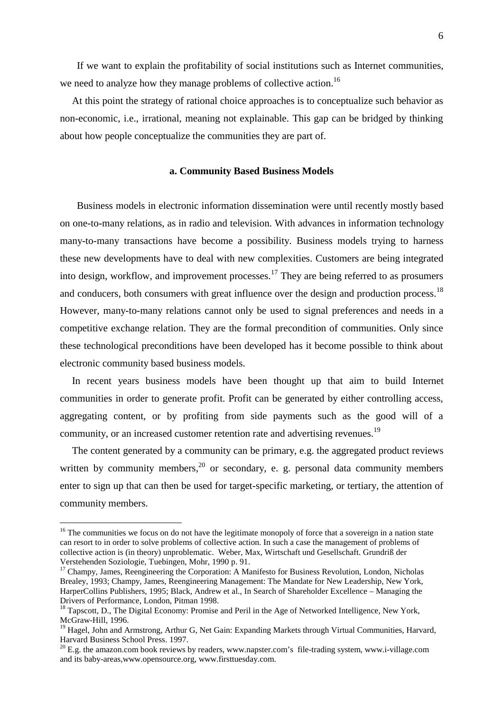If we want to explain the profitability of social institutions such as Internet communities, we need to analyze how they manage problems of collective action.<sup>16</sup>

At this point the strategy of rational choice approaches is to conceptualize such behavior as non-economic, i.e., irrational, meaning not explainable. This gap can be bridged by thinking about how people conceptualize the communities they are part of.

#### **a. Community Based Business Models**

Business models in electronic information dissemination were until recently mostly based on one-to-many relations, as in radio and television. With advances in information technology many-to-many transactions have become a possibility. Business models trying to harness these new developments have to deal with new complexities. Customers are being integrated into design, workflow, and improvement processes.<sup>17</sup> They are being referred to as prosumers and conducers, both consumers with great influence over the design and production process.<sup>18</sup> However, many-to-many relations cannot only be used to signal preferences and needs in a competitive exchange relation. They are the formal precondition of communities. Only since these technological preconditions have been developed has it become possible to think about electronic community based business models.

In recent years business models have been thought up that aim to build Internet communities in order to generate profit. Profit can be generated by either controlling access, aggregating content, or by profiting from side payments such as the good will of a community, or an increased customer retention rate and advertising revenues.<sup>19</sup>

The content generated by a community can be primary, e.g. the aggregated product reviews written by community members,  $20$  or secondary, e. g. personal data community members enter to sign up that can then be used for target-specific marketing, or tertiary, the attention of community members.

<sup>&</sup>lt;sup>16</sup> The communities we focus on do not have the legitimate monopoly of force that a sovereign in a nation state can resort to in order to solve problems of collective action. In such a case the management of problems of collective action is (in theory) unproblematic. Weber, Max, Wirtschaft und Gesellschaft. Grundriß der Verstehenden Soziologie, Tuebingen, Mohr, 1990 p. 91.

<sup>&</sup>lt;sup>17</sup> Champy, James, Reengineering the Corporation: A Manifesto for Business Revolution, London, Nicholas Brealey, 1993; Champy, James, Reengineering Management: The Mandate for New Leadership, New York, HarperCollins Publishers, 1995; Black, Andrew et al., In Search of Shareholder Excellence – Managing the Drivers of Performance, London, Pitman 1998.

<sup>&</sup>lt;sup>18</sup> Tapscott, D., The Digital Economy: Promise and Peril in the Age of Networked Intelligence, New York, McGraw-Hill, 1996.

<sup>&</sup>lt;sup>19</sup> Hagel, John and Armstrong, Arthur G, Net Gain: Expanding Markets through Virtual Communities, Harvard, Harvard Business School Press. 1997.

 $20$  E.g. the amazon.com book reviews by readers, www.napster.com's file-trading system, www.i-village.com and its baby-areas,www.opensource.org, www.firsttuesday.com.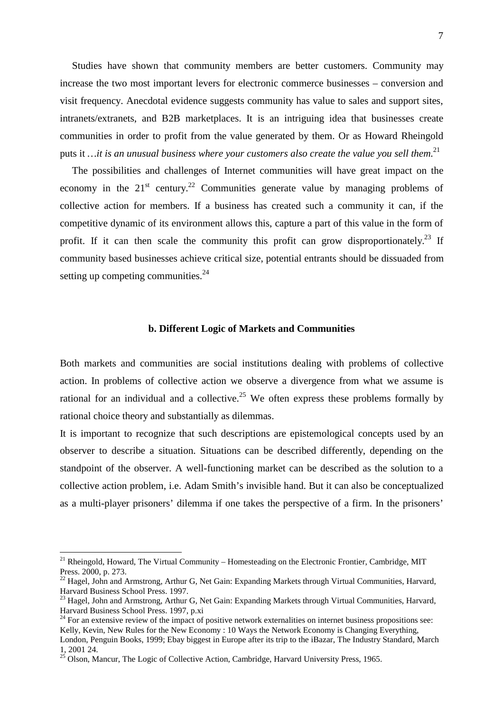Studies have shown that community members are better customers. Community may increase the two most important levers for electronic commerce businesses – conversion and visit frequency. Anecdotal evidence suggests community has value to sales and support sites, intranets/extranets, and B2B marketplaces. It is an intriguing idea that businesses create communities in order to profit from the value generated by them. Or as Howard Rheingold puts it *…it is an unusual business where your customers also create the value you sell them.*21

The possibilities and challenges of Internet communities will have great impact on the economy in the  $21<sup>st</sup>$  century.<sup>22</sup> Communities generate value by managing problems of collective action for members. If a business has created such a community it can, if the competitive dynamic of its environment allows this, capture a part of this value in the form of profit. If it can then scale the community this profit can grow disproportionately.<sup>23</sup> If community based businesses achieve critical size, potential entrants should be dissuaded from setting up competing communities. $^{24}$ 

# **b. Different Logic of Markets and Communities**

Both markets and communities are social institutions dealing with problems of collective action. In problems of collective action we observe a divergence from what we assume is rational for an individual and a collective.<sup>25</sup> We often express these problems formally by rational choice theory and substantially as dilemmas.

It is important to recognize that such descriptions are epistemological concepts used by an observer to describe a situation. Situations can be described differently, depending on the standpoint of the observer. A well-functioning market can be described as the solution to a collective action problem, i.e. Adam Smith's invisible hand. But it can also be conceptualized as a multi-player prisoners' dilemma if one takes the perspective of a firm. In the prisoners'

 $^{21}$  Rheingold, Howard, The Virtual Community – Homesteading on the Electronic Frontier, Cambridge, MIT Press. 2000, p. 273.

 $^{22}$  Hagel, John and Armstrong, Arthur G, Net Gain: Expanding Markets through Virtual Communities, Harvard, Harvard Business School Press. 1997.

<sup>&</sup>lt;sup>23</sup> Hagel, John and Armstrong, Arthur G, Net Gain: Expanding Markets through Virtual Communities, Harvard, Harvard Business School Press. 1997, p.xi

 $24$  For an extensive review of the impact of positive network externalities on internet business propositions see: Kelly, Kevin, New Rules for the New Economy : 10 Ways the Network Economy is Changing Everything, London, Penguin Books, 1999; Ebay biggest in Europe after its trip to the iBazar, The Industry Standard, March 1, 2001 24.

<sup>&</sup>lt;sup>25</sup> Olson, Mancur, The Logic of Collective Action, Cambridge, Harvard University Press, 1965.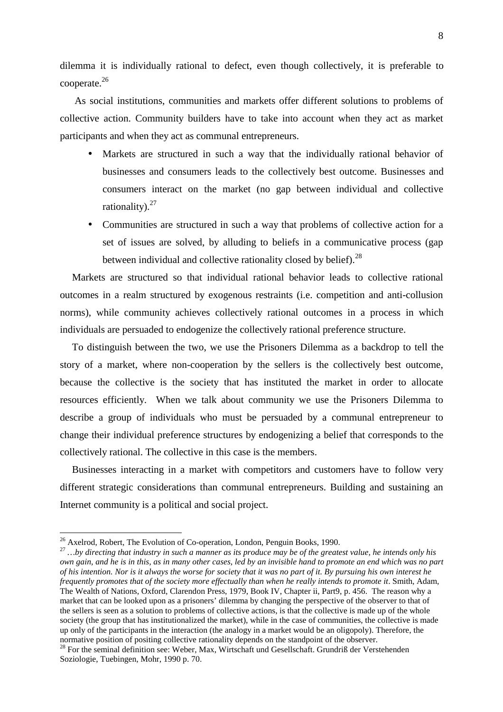dilemma it is individually rational to defect, even though collectively, it is preferable to cooperate.<sup>26</sup>

 As social institutions, communities and markets offer different solutions to problems of collective action. Community builders have to take into account when they act as market participants and when they act as communal entrepreneurs.

- Markets are structured in such a way that the individually rational behavior of businesses and consumers leads to the collectively best outcome. Businesses and consumers interact on the market (no gap between individual and collective rationality). $27$
- Communities are structured in such a way that problems of collective action for a set of issues are solved, by alluding to beliefs in a communicative process (gap between individual and collective rationality closed by belief). $^{28}$

Markets are structured so that individual rational behavior leads to collective rational outcomes in a realm structured by exogenous restraints (i.e. competition and anti-collusion norms), while community achieves collectively rational outcomes in a process in which individuals are persuaded to endogenize the collectively rational preference structure.

To distinguish between the two, we use the Prisoners Dilemma as a backdrop to tell the story of a market, where non-cooperation by the sellers is the collectively best outcome, because the collective is the society that has instituted the market in order to allocate resources efficiently. When we talk about community we use the Prisoners Dilemma to describe a group of individuals who must be persuaded by a communal entrepreneur to change their individual preference structures by endogenizing a belief that corresponds to the collectively rational. The collective in this case is the members.

Businesses interacting in a market with competitors and customers have to follow very different strategic considerations than communal entrepreneurs. Building and sustaining an Internet community is a political and social project.

<sup>&</sup>lt;sup>26</sup> Axelrod, Robert, The Evolution of Co-operation, London, Penguin Books, 1990.<br><sup>27</sup> …by directing that industry in such a manner as its produce may be of the greatest value, he intends only his *own gain, and he is in this, as in many other cases, led by an invisible hand to promote an end which was no part of his intention. Nor is it always the worse for society that it was no part of it. By pursuing his own interest he frequently promotes that of the society more effectually than when he really intends to promote it*. Smith, Adam, The Wealth of Nations, Oxford, Clarendon Press, 1979, Book IV, Chapter ii, Part9, p. 456. The reason why a market that can be looked upon as a prisoners' dilemma by changing the perspective of the observer to that of the sellers is seen as a solution to problems of collective actions, is that the collective is made up of the whole society (the group that has institutionalized the market), while in the case of communities, the collective is made up only of the participants in the interaction (the analogy in a market would be an oligopoly). Therefore, the normative position of positing collective rationality depends on the standpoint of the observer.

<sup>&</sup>lt;sup>28</sup> For the seminal definition see: Weber, Max, Wirtschaft und Gesellschaft. Grundriß der Verstehenden Soziologie, Tuebingen, Mohr, 1990 p. 70.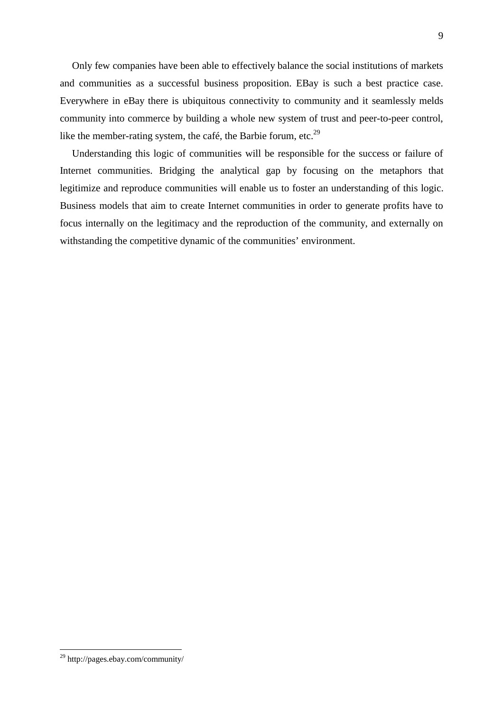Only few companies have been able to effectively balance the social institutions of markets and communities as a successful business proposition. EBay is such a best practice case. Everywhere in eBay there is ubiquitous connectivity to community and it seamlessly melds community into commerce by building a whole new system of trust and peer-to-peer control, like the member-rating system, the café, the Barbie forum, etc.<sup>29</sup>

Understanding this logic of communities will be responsible for the success or failure of Internet communities. Bridging the analytical gap by focusing on the metaphors that legitimize and reproduce communities will enable us to foster an understanding of this logic. Business models that aim to create Internet communities in order to generate profits have to focus internally on the legitimacy and the reproduction of the community, and externally on withstanding the competitive dynamic of the communities' environment.

<sup>29</sup> http://pages.ebay.com/community/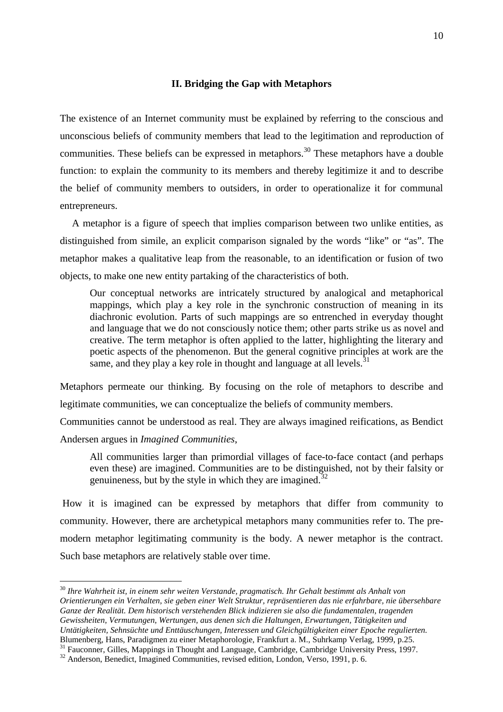#### **II. Bridging the Gap with Metaphors**

The existence of an Internet community must be explained by referring to the conscious and unconscious beliefs of community members that lead to the legitimation and reproduction of communities. These beliefs can be expressed in metaphors.<sup>30</sup> These metaphors have a double function: to explain the community to its members and thereby legitimize it and to describe the belief of community members to outsiders, in order to operationalize it for communal entrepreneurs.

A metaphor is a figure of speech that implies comparison between two unlike entities, as distinguished from simile, an explicit comparison signaled by the words "like" or "as". The metaphor makes a qualitative leap from the reasonable, to an identification or fusion of two objects, to make one new entity partaking of the characteristics of both.

Our conceptual networks are intricately structured by analogical and metaphorical mappings, which play a key role in the synchronic construction of meaning in its diachronic evolution. Parts of such mappings are so entrenched in everyday thought and language that we do not consciously notice them; other parts strike us as novel and creative. The term metaphor is often applied to the latter, highlighting the literary and poetic aspects of the phenomenon. But the general cognitive principles at work are the same, and they play a key role in thought and language at all levels.<sup>31</sup>

Metaphors permeate our thinking. By focusing on the role of metaphors to describe and legitimate communities, we can conceptualize the beliefs of community members.

Communities cannot be understood as real. They are always imagined reifications, as Bendict

Andersen argues in *Imagined Communities*,

 $\overline{a}$ 

All communities larger than primordial villages of face-to-face contact (and perhaps even these) are imagined. Communities are to be distinguished, not by their falsity or genuineness, but by the style in which they are imagined.<sup>32</sup>

 How it is imagined can be expressed by metaphors that differ from community to community. However, there are archetypical metaphors many communities refer to. The premodern metaphor legitimating community is the body. A newer metaphor is the contract. Such base metaphors are relatively stable over time.

<sup>30</sup> *Ihre Wahrheit ist, in einem sehr weiten Verstande, pragmatisch. Ihr Gehalt bestimmt als Anhalt von Orientierungen ein Verhalten, sie geben einer Welt Struktur, repräsentieren das nie erfahrbare, nie übersehbare Ganze der Realität. Dem historisch verstehenden Blick indizieren sie also die fundamentalen, tragenden Gewissheiten, Vermutungen, Wertungen, aus denen sich die Haltungen, Erwartungen, Tätigkeiten und Untätigkeiten, Sehnsüchte und Enttäuschungen, Interessen und Gleichgültigkeiten einer Epoche regulierten.* Blumenberg, Hans, Paradigmen zu einer Metaphorologie, Frankfurt a. M., Suhrkamp Verlag, 1999, p.25.

<sup>&</sup>lt;sup>31</sup> Fauconner, Gilles, Mappings in Thought and Language, Cambridge, Cambridge University Press, 1997.<br><sup>32</sup> Anderson, Benedict, Imagined Communities, revised edition, London, Verso, 1991, p. 6.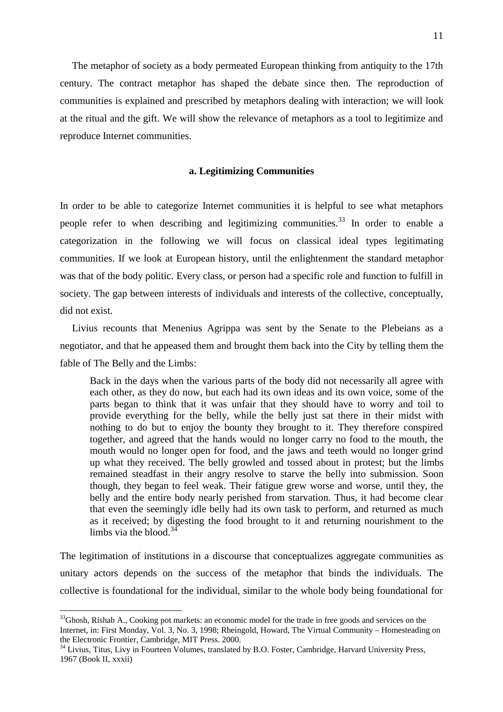The metaphor of society as a body permeated European thinking from antiquity to the 17th century. The contract metaphor has shaped the debate since then. The reproduction of communities is explained and prescribed by metaphors dealing with interaction; we will look at the ritual and the gift. We will show the relevance of metaphors as a tool to legitimize and reproduce Internet communities.

#### **a. Legitimizing Communities**

In order to be able to categorize Internet communities it is helpful to see what metaphors people refer to when describing and legitimizing communities.<sup>33</sup> In order to enable a categorization in the following we will focus on classical ideal types legitimating communities. If we look at European history, until the enlightenment the standard metaphor was that of the body politic. Every class, or person had a specific role and function to fulfill in society. The gap between interests of individuals and interests of the collective, conceptually, did not exist.

Livius recounts that Menenius Agrippa was sent by the Senate to the Plebeians as a negotiator, and that he appeased them and brought them back into the City by telling them the fable of The Belly and the Limbs:

Back in the days when the various parts of the body did not necessarily all agree with each other, as they do now, but each had its own ideas and its own voice, some of the parts began to think that it was unfair that they should have to worry and toil to provide everything for the belly, while the belly just sat there in their midst with nothing to do but to enjoy the bounty they brought to it. They therefore conspired together, and agreed that the hands would no longer carry no food to the mouth, the mouth would no longer open for food, and the jaws and teeth would no longer grind up what they received. The belly growled and tossed about in protest; but the limbs remained steadfast in their angry resolve to starve the belly into submission. Soon though, they began to feel weak. Their fatigue grew worse and worse, until they, the belly and the entire body nearly perished from starvation. Thus, it had become clear that even the seemingly idle belly had its own task to perform, and returned as much as it received; by digesting the food brought to it and returning nourishment to the limbs via the blood. $34$ 

The legitimation of institutions in a discourse that conceptualizes aggregate communities as unitary actors depends on the success of the metaphor that binds the individuals. The collective is foundational for the individual, similar to the whole body being foundational for

<sup>&</sup>lt;sup>33</sup>Ghosh, Rishab A., Cooking pot markets: an economic model for the trade in free goods and services on the Internet, in: First Monday, Vol. 3, No. 3, 1998; Rheingold, Howard, The Virtual Community – Homesteading on the Electronic Frontier, Cambridge, MIT Press. 2000.

<sup>&</sup>lt;sup>34</sup> Livius, Titus, Livy in Fourteen Volumes, translated by B.O. Foster, Cambridge, Harvard University Press, 1967 (Book II, xxxii)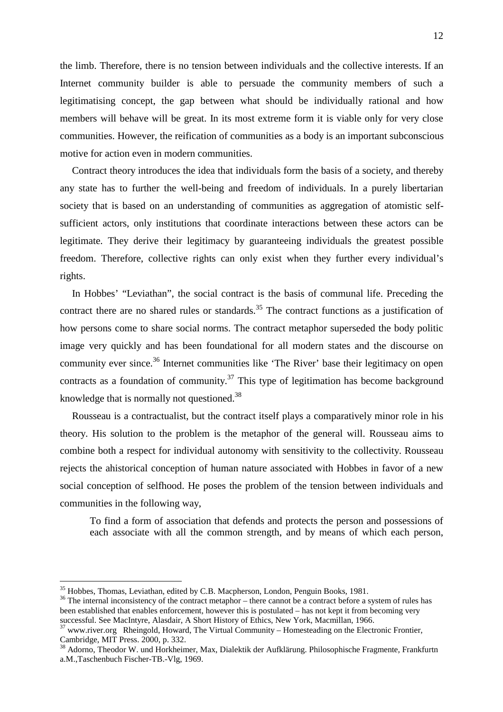the limb. Therefore, there is no tension between individuals and the collective interests. If an Internet community builder is able to persuade the community members of such a legitimatising concept, the gap between what should be individually rational and how members will behave will be great. In its most extreme form it is viable only for very close communities. However, the reification of communities as a body is an important subconscious motive for action even in modern communities.

Contract theory introduces the idea that individuals form the basis of a society, and thereby any state has to further the well-being and freedom of individuals. In a purely libertarian society that is based on an understanding of communities as aggregation of atomistic selfsufficient actors, only institutions that coordinate interactions between these actors can be legitimate. They derive their legitimacy by guaranteeing individuals the greatest possible freedom. Therefore, collective rights can only exist when they further every individual's rights.

In Hobbes' "Leviathan", the social contract is the basis of communal life. Preceding the contract there are no shared rules or standards.<sup>35</sup> The contract functions as a justification of how persons come to share social norms. The contract metaphor superseded the body politic image very quickly and has been foundational for all modern states and the discourse on community ever since.<sup>36</sup> Internet communities like 'The River' base their legitimacy on open contracts as a foundation of community.<sup>37</sup> This type of legitimation has become background knowledge that is normally not questioned.<sup>38</sup>

Rousseau is a contractualist, but the contract itself plays a comparatively minor role in his theory. His solution to the problem is the metaphor of the general will. Rousseau aims to combine both a respect for individual autonomy with sensitivity to the collectivity. Rousseau rejects the ahistorical conception of human nature associated with Hobbes in favor of a new social conception of selfhood. He poses the problem of the tension between individuals and communities in the following way,

To find a form of association that defends and protects the person and possessions of each associate with all the common strength, and by means of which each person,

<sup>&</sup>lt;sup>35</sup> Hobbes. Thomas, Leviathan, edited by C.B. Macpherson, London, Penguin Books, 1981.

 $36$  The internal inconsistency of the contract metaphor – there cannot be a contract before a system of rules has been established that enables enforcement, however this is postulated – has not kept it from becoming very successful. See MacIntyre, Alasdair, A Short History of Ethics, New York, Macmillan, 1966.

 $37$  www.river.org Rheingold, Howard, The Virtual Community – Homesteading on the Electronic Frontier, Cambridge, MIT Press. 2000, p. 332.

<sup>38</sup> Adorno, Theodor W. und Horkheimer, Max, Dialektik der Aufklärung. Philosophische Fragmente, Frankfurtn a.M.,Taschenbuch Fischer-TB.-Vlg, 1969.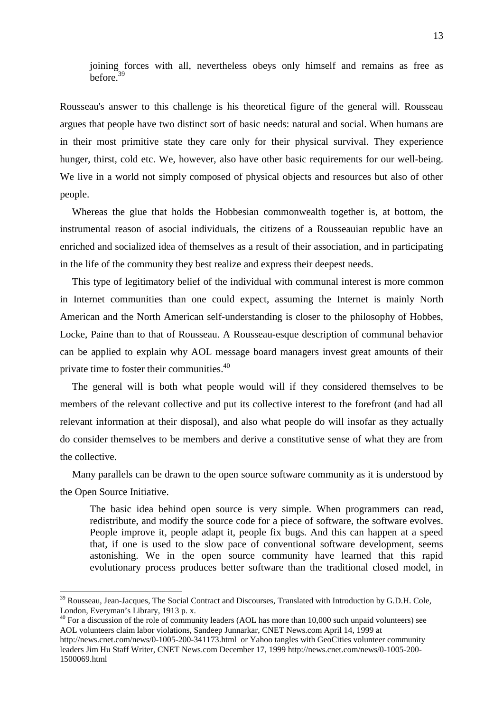joining forces with all, nevertheless obeys only himself and remains as free as before<sup>39</sup>

Rousseau's answer to this challenge is his theoretical figure of the general will. Rousseau argues that people have two distinct sort of basic needs: natural and social. When humans are in their most primitive state they care only for their physical survival. They experience hunger, thirst, cold etc. We, however, also have other basic requirements for our well-being. We live in a world not simply composed of physical objects and resources but also of other people.

Whereas the glue that holds the Hobbesian commonwealth together is, at bottom, the instrumental reason of asocial individuals, the citizens of a Rousseauian republic have an enriched and socialized idea of themselves as a result of their association, and in participating in the life of the community they best realize and express their deepest needs.

This type of legitimatory belief of the individual with communal interest is more common in Internet communities than one could expect, assuming the Internet is mainly North American and the North American self-understanding is closer to the philosophy of Hobbes, Locke, Paine than to that of Rousseau. A Rousseau-esque description of communal behavior can be applied to explain why AOL message board managers invest great amounts of their private time to foster their communities.40

The general will is both what people would will if they considered themselves to be members of the relevant collective and put its collective interest to the forefront (and had all relevant information at their disposal), and also what people do will insofar as they actually do consider themselves to be members and derive a constitutive sense of what they are from the collective.

Many parallels can be drawn to the open source software community as it is understood by the Open Source Initiative.

The basic idea behind open source is very simple. When programmers can read, redistribute, and modify the source code for a piece of software, the software evolves. People improve it, people adapt it, people fix bugs. And this can happen at a speed that, if one is used to the slow pace of conventional software development, seems astonishing. We in the open source community have learned that this rapid evolutionary process produces better software than the traditional closed model, in

<sup>&</sup>lt;sup>39</sup> Rousseau, Jean-Jacques, The Social Contract and Discourses, Translated with Introduction by G.D.H. Cole, London, Everyman's Library, 1913 p. x.

 $40$  For a discussion of the role of community leaders (AOL has more than 10,000 such unpaid volunteers) see AOL volunteers claim labor violations, Sandeep Junnarkar, CNET News.com April 14, 1999 at

http://news.cnet.com/news/0-1005-200-341173.html or Yahoo tangles with GeoCities volunteer community leaders Jim Hu Staff Writer, CNET News.com December 17, 1999 http://news.cnet.com/news/0-1005-200- 1500069.html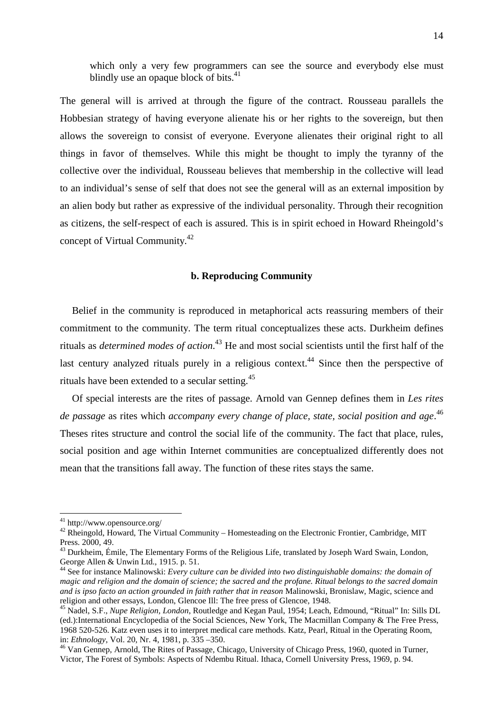which only a very few programmers can see the source and everybody else must blindly use an opaque block of bits. $41$ 

The general will is arrived at through the figure of the contract. Rousseau parallels the Hobbesian strategy of having everyone alienate his or her rights to the sovereign, but then allows the sovereign to consist of everyone. Everyone alienates their original right to all things in favor of themselves. While this might be thought to imply the tyranny of the collective over the individual, Rousseau believes that membership in the collective will lead to an individual's sense of self that does not see the general will as an external imposition by an alien body but rather as expressive of the individual personality. Through their recognition as citizens, the self-respect of each is assured. This is in spirit echoed in Howard Rheingold's concept of Virtual Community.<sup>42</sup>

# **b. Reproducing Community**

Belief in the community is reproduced in metaphorical acts reassuring members of their commitment to the community. The term ritual conceptualizes these acts. Durkheim defines rituals as *determined modes of action*. 43 He and most social scientists until the first half of the last century analyzed rituals purely in a religious context.<sup>44</sup> Since then the perspective of rituals have been extended to a secular setting.45

Of special interests are the rites of passage. Arnold van Gennep defines them in *Les rites de passage* as rites which *accompany every change of place, state, social position and age*. 46 Theses rites structure and control the social life of the community. The fact that place, rules, social position and age within Internet communities are conceptualized differently does not mean that the transitions fall away. The function of these rites stays the same.

<sup>&</sup>lt;sup>41</sup> http://www.opensource.org/

 $42$  Rheingold, Howard, The Virtual Community – Homesteading on the Electronic Frontier, Cambridge, MIT Press. 2000, 49.

<sup>&</sup>lt;sup>43</sup> Durkheim, Émile, The Elementary Forms of the Religious Life, translated by Joseph Ward Swain, London, George Allen & Unwin Ltd., 1915. p. 51.

<sup>44</sup> See for instance Malinowski: *Every culture can be divided into two distinguishable domains: the domain of magic and religion and the domain of science; the sacred and the profane. Ritual belongs to the sacred domain and is ipso facto an action grounded in faith rather that in reason* Malinowski, Bronislaw, Magic, science and religion and other essays, London, Glencoe Ill: The free press of Glencoe, 1948.

<sup>45</sup> Nadel, S.F., *Nupe Religion, London*, Routledge and Kegan Paul, 1954; Leach, Edmound, "Ritual" In: Sills DL (ed.):International Encyclopedia of the Social Sciences, New York, The Macmillan Company & The Free Press, 1968 520-526. Katz even uses it to interpret medical care methods. Katz, Pearl, Ritual in the Operating Room, in: *Ethnology*, Vol. 20, Nr. 4, 1981, p. 335 –350.<br><sup>46</sup> Van Gennep, Arnold, The Rites of Passage, Chicago, University of Chicago Press, 1960, quoted in Turner,

Victor, The Forest of Symbols: Aspects of Ndembu Ritual. Ithaca, Cornell University Press, 1969, p. 94.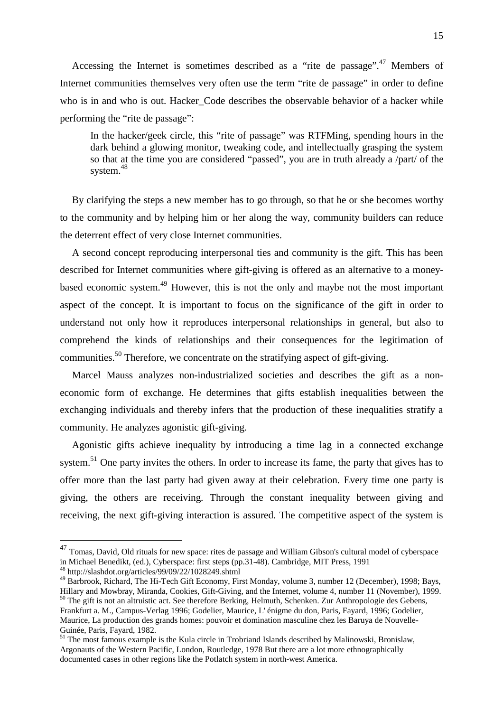Accessing the Internet is sometimes described as a "rite de passage".<sup>47</sup> Members of Internet communities themselves very often use the term "rite de passage" in order to define who is in and who is out. Hacker Code describes the observable behavior of a hacker while performing the "rite de passage":

In the hacker/geek circle, this "rite of passage" was RTFMing, spending hours in the dark behind a glowing monitor, tweaking code, and intellectually grasping the system so that at the time you are considered "passed", you are in truth already a /part/ of the system.<sup>48</sup>

By clarifying the steps a new member has to go through, so that he or she becomes worthy to the community and by helping him or her along the way, community builders can reduce the deterrent effect of very close Internet communities.

A second concept reproducing interpersonal ties and community is the gift. This has been described for Internet communities where gift-giving is offered as an alternative to a moneybased economic system.49 However, this is not the only and maybe not the most important aspect of the concept. It is important to focus on the significance of the gift in order to understand not only how it reproduces interpersonal relationships in general, but also to comprehend the kinds of relationships and their consequences for the legitimation of communities.50 Therefore, we concentrate on the stratifying aspect of gift-giving.

Marcel Mauss analyzes non-industrialized societies and describes the gift as a noneconomic form of exchange. He determines that gifts establish inequalities between the exchanging individuals and thereby infers that the production of these inequalities stratify a community. He analyzes agonistic gift-giving.

Agonistic gifts achieve inequality by introducing a time lag in a connected exchange system.<sup>51</sup> One party invites the others. In order to increase its fame, the party that gives has to offer more than the last party had given away at their celebration. Every time one party is giving, the others are receiving. Through the constant inequality between giving and receiving, the next gift-giving interaction is assured. The competitive aspect of the system is

 $^{47}$  Tomas, David, Old rituals for new space: rites de passage and William Gibson's cultural model of cyberspace in Michael Benedikt, (ed.), Cyberspace: first steps (pp.31-48). Cambridge, MIT Press, 1991 <sup>48</sup> http://slashdot.org/articles/99/09/22/1028249.shtml

<sup>49</sup> Barbrook, Richard, The Hi-Tech Gift Economy, First Monday, volume 3, number 12 (December), 1998; Bays, Hillary and Mowbray, Miranda, Cookies, Gift-Giving, and the Internet, volume 4, number 11 (November), 1999. <sup>50</sup> The gift is not an altruistic act. See therefore Berking, Helmuth, Schenken. Zur Anthropologie des Gebens,

Frankfurt a. M., Campus-Verlag 1996; Godelier, Maurice, L' énigme du don, Paris, Fayard, 1996; Godelier, Maurice, La production des grands homes: pouvoir et domination masculine chez les Baruya de Nouvelle-Guinée, Paris, Fayard, 1982.

<sup>&</sup>lt;sup>51</sup> The most famous example is the Kula circle in Trobriand Islands described by Malinowski, Bronislaw, Argonauts of the Western Pacific, London, Routledge, 1978 But there are a lot more ethnographically documented cases in other regions like the Potlatch system in north-west America.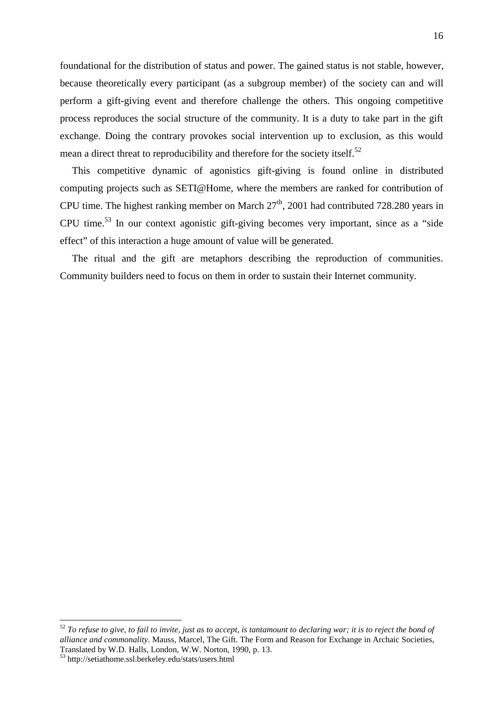foundational for the distribution of status and power. The gained status is not stable, however, because theoretically every participant (as a subgroup member) of the society can and will perform a gift-giving event and therefore challenge the others. This ongoing competitive process reproduces the social structure of the community. It is a duty to take part in the gift exchange. Doing the contrary provokes social intervention up to exclusion, as this would mean a direct threat to reproducibility and therefore for the society itself.<sup>52</sup>

This competitive dynamic of agonistics gift-giving is found online in distributed computing projects such as SETI@Home, where the members are ranked for contribution of CPU time. The highest ranking member on March  $27<sup>th</sup>$ , 2001 had contributed 728.280 years in CPU time.53 In our context agonistic gift-giving becomes very important, since as a "side effect" of this interaction a huge amount of value will be generated.

The ritual and the gift are metaphors describing the reproduction of communities. Community builders need to focus on them in order to sustain their Internet community.

<sup>52</sup> *To refuse to give, to fail to invite, just as to accept, is tantamount to declaring war; it is to reject the bond of alliance and commonality*. Mauss, Marcel, The Gift. The Form and Reason for Exchange in Archaic Societies, Translated by W.D. Halls, London, W.W. Norton, 1990, p. 13.

<sup>53</sup> http://setiathome.ssl.berkeley.edu/stats/users.html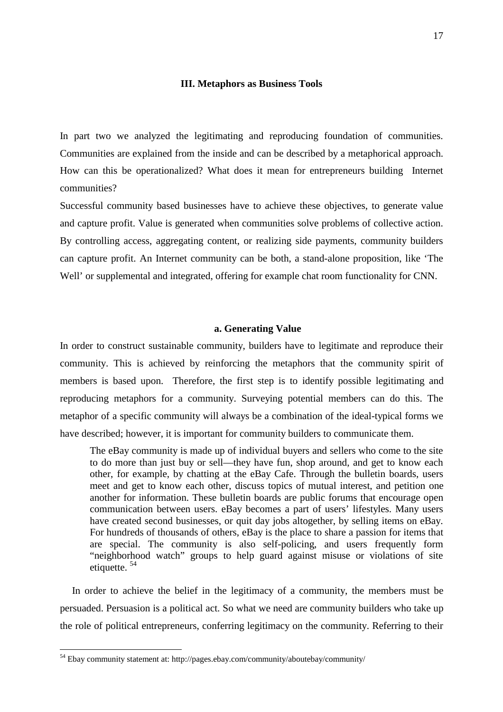#### **III. Metaphors as Business Tools**

In part two we analyzed the legitimating and reproducing foundation of communities. Communities are explained from the inside and can be described by a metaphorical approach. How can this be operationalized? What does it mean for entrepreneurs building Internet communities?

Successful community based businesses have to achieve these objectives, to generate value and capture profit. Value is generated when communities solve problems of collective action. By controlling access, aggregating content, or realizing side payments, community builders can capture profit. An Internet community can be both, a stand-alone proposition, like 'The Well' or supplemental and integrated, offering for example chat room functionality for CNN.

#### **a. Generating Value**

In order to construct sustainable community, builders have to legitimate and reproduce their community. This is achieved by reinforcing the metaphors that the community spirit of members is based upon. Therefore, the first step is to identify possible legitimating and reproducing metaphors for a community. Surveying potential members can do this. The metaphor of a specific community will always be a combination of the ideal-typical forms we have described; however, it is important for community builders to communicate them.

The eBay community is made up of individual buyers and sellers who come to the site to do more than just buy or sell—they have fun, shop around, and get to know each other, for example, by chatting at the eBay Cafe. Through the bulletin boards, users meet and get to know each other, discuss topics of mutual interest, and petition one another for information. These bulletin boards are public forums that encourage open communication between users. eBay becomes a part of users' lifestyles. Many users have created second businesses, or quit day jobs altogether, by selling items on eBay. For hundreds of thousands of others, eBay is the place to share a passion for items that are special. The community is also self-policing, and users frequently form "neighborhood watch" groups to help guard against misuse or violations of site etiquette. 54

In order to achieve the belief in the legitimacy of a community, the members must be persuaded. Persuasion is a political act. So what we need are community builders who take up the role of political entrepreneurs, conferring legitimacy on the community. Referring to their

<sup>54</sup> Ebay community statement at: http://pages.ebay.com/community/aboutebay/community/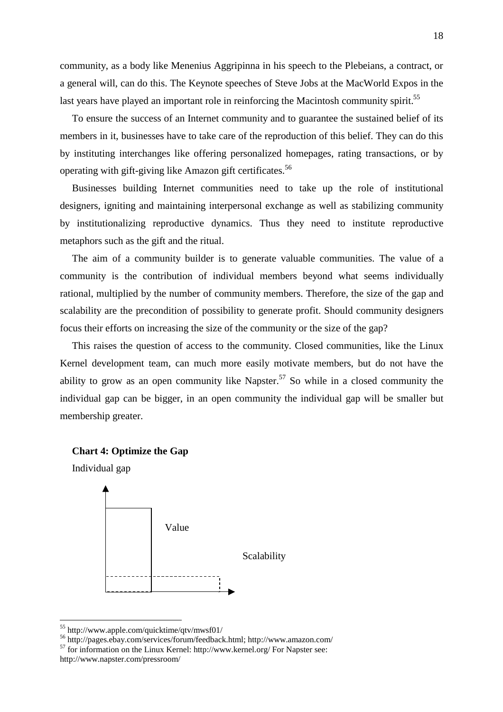community, as a body like Menenius Aggripinna in his speech to the Plebeians, a contract, or a general will, can do this. The Keynote speeches of Steve Jobs at the MacWorld Expos in the last years have played an important role in reinforcing the Macintosh community spirit.<sup>55</sup>

To ensure the success of an Internet community and to guarantee the sustained belief of its members in it, businesses have to take care of the reproduction of this belief. They can do this by instituting interchanges like offering personalized homepages, rating transactions, or by operating with gift-giving like Amazon gift certificates.<sup>56</sup>

Businesses building Internet communities need to take up the role of institutional designers, igniting and maintaining interpersonal exchange as well as stabilizing community by institutionalizing reproductive dynamics. Thus they need to institute reproductive metaphors such as the gift and the ritual.

The aim of a community builder is to generate valuable communities. The value of a community is the contribution of individual members beyond what seems individually rational, multiplied by the number of community members. Therefore, the size of the gap and scalability are the precondition of possibility to generate profit. Should community designers focus their efforts on increasing the size of the community or the size of the gap?

This raises the question of access to the community. Closed communities, like the Linux Kernel development team, can much more easily motivate members, but do not have the ability to grow as an open community like Napster.<sup>57</sup> So while in a closed community the individual gap can be bigger, in an open community the individual gap will be smaller but membership greater.

# **Chart 4: Optimize the Gap**

Individual gap



<sup>55</sup> http://www.apple.com/quicktime/qtv/mwsf01/

<sup>56</sup> http://pages.ebay.com/services/forum/feedback.html; http://www.amazon.com/ 57 for information on the Linux Kernel: http://www.kernel.org/ For Napster see:

http://www.napster.com/pressroom/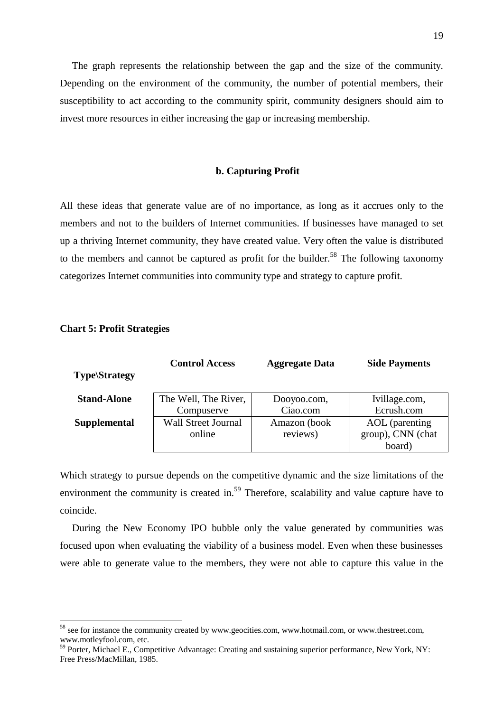The graph represents the relationship between the gap and the size of the community. Depending on the environment of the community, the number of potential members, their susceptibility to act according to the community spirit, community designers should aim to invest more resources in either increasing the gap or increasing membership.

# **b. Capturing Profit**

All these ideas that generate value are of no importance, as long as it accrues only to the members and not to the builders of Internet communities. If businesses have managed to set up a thriving Internet community, they have created value. Very often the value is distributed to the members and cannot be captured as profit for the builder.<sup>58</sup> The following taxonomy categorizes Internet communities into community type and strategy to capture profit.

# **Chart 5: Profit Strategies**

 $\overline{a}$ 

|                             | <b>Control Access</b>                | <b>Aggregate Data</b>    | <b>Side Payments</b>                           |
|-----------------------------|--------------------------------------|--------------------------|------------------------------------------------|
| <b>Type</b> <i>Strategy</i> |                                      |                          |                                                |
| <b>Stand-Alone</b>          | The Well, The River,<br>Compuserve   | Dooyoo.com,<br>Ciao.com  | Ivillage.com,<br>Ecrush.com                    |
| <b>Supplemental</b>         | <b>Wall Street Journal</b><br>online | Amazon (book<br>reviews) | AOL (parenting)<br>group), CNN (chat<br>board) |

Which strategy to pursue depends on the competitive dynamic and the size limitations of the environment the community is created in.<sup>59</sup> Therefore, scalability and value capture have to coincide.

During the New Economy IPO bubble only the value generated by communities was focused upon when evaluating the viability of a business model. Even when these businesses were able to generate value to the members, they were not able to capture this value in the

 $58$  see for instance the community created by www.geocities.com, www.hotmail.com, or www.thestreet.com, www.motleyfool.com, etc.

<sup>&</sup>lt;sup>59</sup> Porter, Michael E., Competitive Advantage: Creating and sustaining superior performance, New York, NY: Free Press/MacMillan, 1985.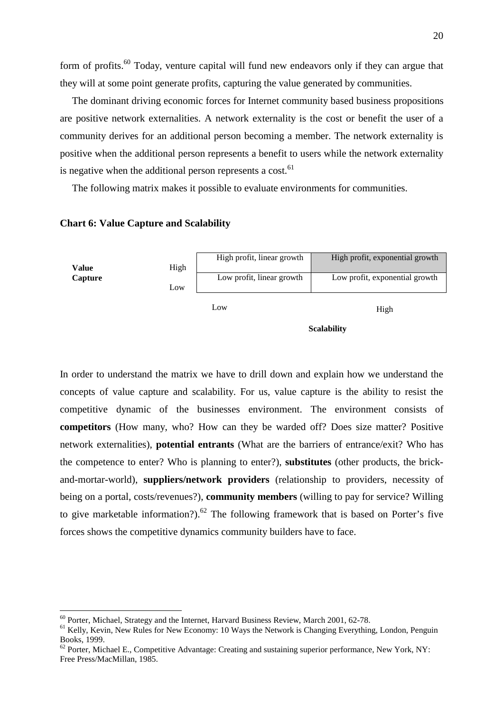form of profits.<sup>60</sup> Today, venture capital will fund new endeavors only if they can argue that they will at some point generate profits, capturing the value generated by communities.

The dominant driving economic forces for Internet community based business propositions are positive network externalities. A network externality is the cost or benefit the user of a community derives for an additional person becoming a member. The network externality is positive when the additional person represents a benefit to users while the network externality is negative when the additional person represents a cost. $61$ 

The following matrix makes it possible to evaluate environments for communities.

#### **Chart 6: Value Capture and Scalability**



In order to understand the matrix we have to drill down and explain how we understand the concepts of value capture and scalability. For us, value capture is the ability to resist the competitive dynamic of the businesses environment. The environment consists of **competitors** (How many, who? How can they be warded off? Does size matter? Positive network externalities), **potential entrants** (What are the barriers of entrance/exit? Who has the competence to enter? Who is planning to enter?), **substitutes** (other products, the brickand-mortar-world), **suppliers/network providers** (relationship to providers, necessity of being on a portal, costs/revenues?), **community members** (willing to pay for service? Willing to give marketable information?).<sup>62</sup> The following framework that is based on Porter's five forces shows the competitive dynamics community builders have to face.

<sup>&</sup>lt;sup>60</sup> Porter, Michael, Strategy and the Internet, Harvard Business Review, March 2001, 62-78.

<sup>&</sup>lt;sup>61</sup> Kelly, Kevin, New Rules for New Economy: 10 Ways the Network is Changing Everything, London, Penguin Books, 1999.

 $62$  Porter, Michael E., Competitive Advantage: Creating and sustaining superior performance, New York, NY: Free Press/MacMillan, 1985.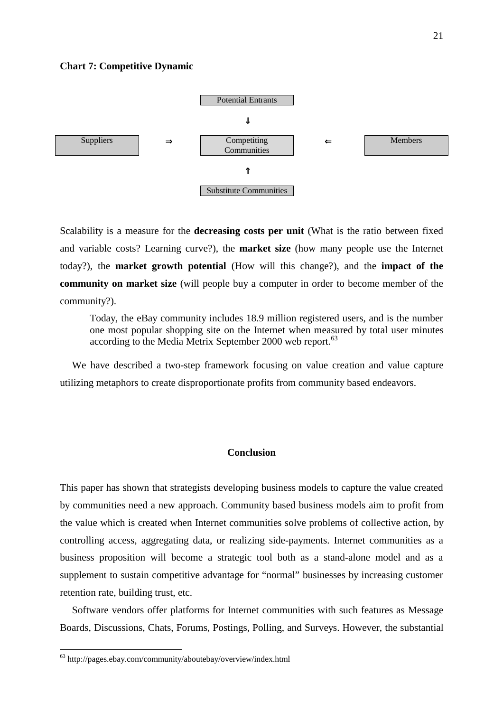#### **Chart 7: Competitive Dynamic**



Scalability is a measure for the **decreasing costs per unit** (What is the ratio between fixed and variable costs? Learning curve?), the **market size** (how many people use the Internet today?), the **market growth potential** (How will this change?), and the **impact of the community on market size** (will people buy a computer in order to become member of the community?).

Today, the eBay community includes 18.9 million registered users, and is the number one most popular shopping site on the Internet when measured by total user minutes according to the Media Metrix September 2000 web report.<sup>63</sup>

We have described a two-step framework focusing on value creation and value capture utilizing metaphors to create disproportionate profits from community based endeavors.

# **Conclusion**

This paper has shown that strategists developing business models to capture the value created by communities need a new approach. Community based business models aim to profit from the value which is created when Internet communities solve problems of collective action, by controlling access, aggregating data, or realizing side-payments. Internet communities as a business proposition will become a strategic tool both as a stand-alone model and as a supplement to sustain competitive advantage for "normal" businesses by increasing customer retention rate, building trust, etc.

Software vendors offer platforms for Internet communities with such features as Message Boards, Discussions, Chats, Forums, Postings, Polling, and Surveys. However, the substantial

<sup>63</sup> http://pages.ebay.com/community/aboutebay/overview/index.html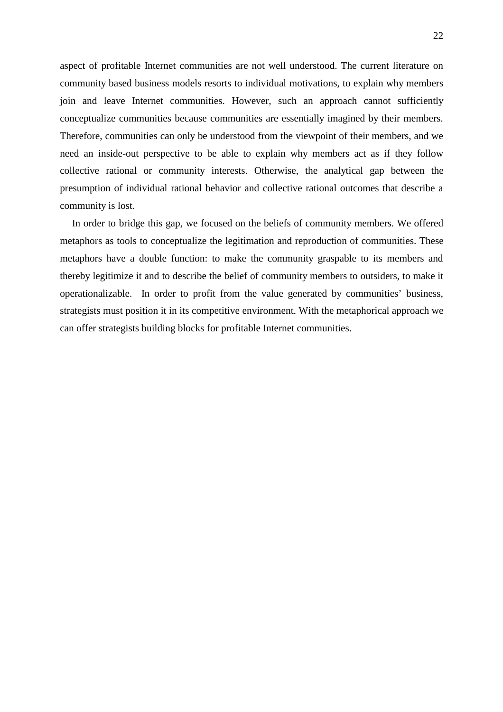aspect of profitable Internet communities are not well understood. The current literature on community based business models resorts to individual motivations, to explain why members join and leave Internet communities. However, such an approach cannot sufficiently conceptualize communities because communities are essentially imagined by their members. Therefore, communities can only be understood from the viewpoint of their members, and we need an inside-out perspective to be able to explain why members act as if they follow collective rational or community interests. Otherwise, the analytical gap between the presumption of individual rational behavior and collective rational outcomes that describe a community is lost.

In order to bridge this gap, we focused on the beliefs of community members. We offered metaphors as tools to conceptualize the legitimation and reproduction of communities. These metaphors have a double function: to make the community graspable to its members and thereby legitimize it and to describe the belief of community members to outsiders, to make it operationalizable. In order to profit from the value generated by communities' business, strategists must position it in its competitive environment. With the metaphorical approach we can offer strategists building blocks for profitable Internet communities.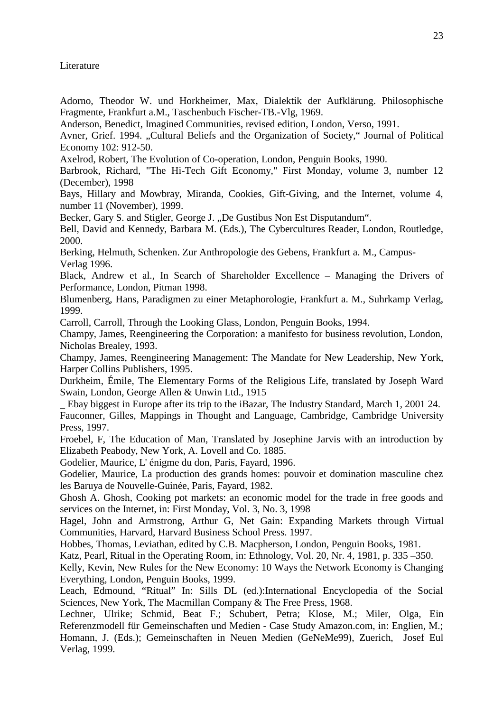# Literature

Adorno, Theodor W. und Horkheimer, Max, Dialektik der Aufklärung. Philosophische Fragmente, Frankfurt a.M., Taschenbuch Fischer-TB.-Vlg, 1969.

Anderson, Benedict, Imagined Communities, revised edition, London, Verso, 1991.

Avner, Grief. 1994. "Cultural Beliefs and the Organization of Society," Journal of Political Economy 102: 912-50.

Axelrod, Robert, The Evolution of Co-operation, London, Penguin Books, 1990.

Barbrook, Richard, "The Hi-Tech Gift Economy," First Monday, volume 3, number 12 (December), 1998

Bays, Hillary and Mowbray, Miranda, Cookies, Gift-Giving, and the Internet, volume 4, number 11 (November), 1999.

Becker, Gary S. and Stigler, George J. "De Gustibus Non Est Disputandum".

Bell, David and Kennedy, Barbara M. (Eds.), The Cybercultures Reader, London, Routledge, 2000.

Berking, Helmuth, Schenken. Zur Anthropologie des Gebens, Frankfurt a. M., Campus-Verlag 1996.

Black, Andrew et al., In Search of Shareholder Excellence – Managing the Drivers of Performance, London, Pitman 1998.

Blumenberg, Hans, Paradigmen zu einer Metaphorologie, Frankfurt a. M., Suhrkamp Verlag, 1999.

Carroll, Carroll, Through the Looking Glass, London, Penguin Books, 1994.

Champy, James, Reengineering the Corporation: a manifesto for business revolution, London, Nicholas Brealey, 1993.

Champy, James, Reengineering Management: The Mandate for New Leadership, New York, Harper Collins Publishers, 1995.

Durkheim, Émile, The Elementary Forms of the Religious Life, translated by Joseph Ward Swain, London, George Allen & Unwin Ltd., 1915

\_ Ebay biggest in Europe after its trip to the iBazar, The Industry Standard, March 1, 2001 24. Fauconner, Gilles, Mappings in Thought and Language, Cambridge, Cambridge University Press, 1997.

Froebel, F, The Education of Man, Translated by Josephine Jarvis with an introduction by Elizabeth Peabody, New York, A. Lovell and Co. 1885.

Godelier, Maurice, L' énigme du don, Paris, Fayard, 1996.

Godelier, Maurice, La production des grands homes: pouvoir et domination masculine chez les Baruya de Nouvelle-Guinée, Paris, Fayard, 1982.

Ghosh A. Ghosh, Cooking pot markets: an economic model for the trade in free goods and services on the Internet, in: First Monday, Vol. 3, No. 3, 1998

Hagel, John and Armstrong, Arthur G, Net Gain: Expanding Markets through Virtual Communities, Harvard, Harvard Business School Press. 1997.

Hobbes, Thomas, Leviathan, edited by C.B. Macpherson, London, Penguin Books, 1981.

Katz, Pearl, Ritual in the Operating Room, in: Ethnology, Vol. 20, Nr. 4, 1981, p. 335 –350.

Kelly, Kevin, New Rules for the New Economy: 10 Ways the Network Economy is Changing Everything, London, Penguin Books, 1999.

Leach, Edmound, "Ritual" In: Sills DL (ed.):International Encyclopedia of the Social Sciences, New York, The Macmillan Company & The Free Press, 1968.

Lechner, Ulrike; Schmid, Beat F.; Schubert, Petra; Klose, M.; Miler, Olga, Ein Referenzmodell für Gemeinschaften und Medien - Case Study Amazon.com, in: Englien, M.; Homann, J. (Eds.); Gemeinschaften in Neuen Medien (GeNeMe99), Zuerich, Josef Eul Verlag, 1999.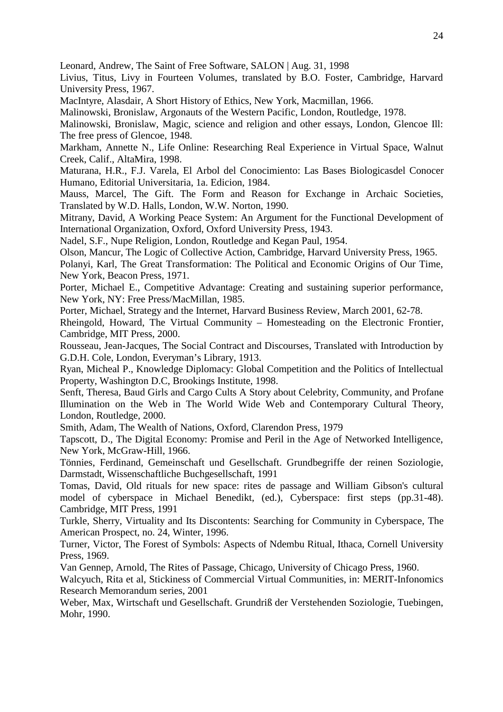Leonard, Andrew, The Saint of Free Software, SALON | Aug. 31, 1998

Livius, Titus, Livy in Fourteen Volumes, translated by B.O. Foster, Cambridge, Harvard University Press, 1967.

MacIntyre, Alasdair, A Short History of Ethics, New York, Macmillan, 1966.

Malinowski, Bronislaw, Argonauts of the Western Pacific, London, Routledge, 1978.

Malinowski, Bronislaw, Magic, science and religion and other essays, London, Glencoe Ill: The free press of Glencoe, 1948.

Markham, Annette N., Life Online: Researching Real Experience in Virtual Space, Walnut Creek, Calif., AltaMira, 1998.

Maturana, H.R., F.J. Varela, El Arbol del Conocimiento: Las Bases Biologicasdel Conocer Humano, Editorial Universitaria, 1a. Edicion, 1984.

Mauss, Marcel, The Gift. The Form and Reason for Exchange in Archaic Societies, Translated by W.D. Halls, London, W.W. Norton, 1990.

Mitrany, David, A Working Peace System: An Argument for the Functional Development of International Organization, Oxford, Oxford University Press, 1943.

Nadel, S.F., Nupe Religion, London, Routledge and Kegan Paul, 1954.

Olson, Mancur, The Logic of Collective Action, Cambridge, Harvard University Press, 1965.

Polanyi, Karl, The Great Transformation: The Political and Economic Origins of Our Time, New York, Beacon Press, 1971.

Porter, Michael E., Competitive Advantage: Creating and sustaining superior performance, New York, NY: Free Press/MacMillan, 1985.

Porter, Michael, Strategy and the Internet, Harvard Business Review, March 2001, 62-78.

Rheingold, Howard, The Virtual Community – Homesteading on the Electronic Frontier, Cambridge, MIT Press, 2000.

Rousseau, Jean-Jacques, The Social Contract and Discourses, Translated with Introduction by G.D.H. Cole, London, Everyman's Library, 1913.

Ryan, Micheal P., Knowledge Diplomacy: Global Competition and the Politics of Intellectual Property, Washington D.C, Brookings Institute, 1998.

Senft, Theresa, Baud Girls and Cargo Cults A Story about Celebrity, Community, and Profane Illumination on the Web in The World Wide Web and Contemporary Cultural Theory, London, Routledge, 2000.

Smith, Adam, The Wealth of Nations, Oxford, Clarendon Press, 1979

Tapscott, D., The Digital Economy: Promise and Peril in the Age of Networked Intelligence, New York, McGraw-Hill, 1966.

Tönnies, Ferdinand, Gemeinschaft und Gesellschaft. Grundbegriffe der reinen Soziologie, Darmstadt, Wissenschaftliche Buchgesellschaft, 1991

Tomas, David, Old rituals for new space: rites de passage and William Gibson's cultural model of cyberspace in Michael Benedikt, (ed.), Cyberspace: first steps (pp.31-48). Cambridge, MIT Press, 1991

Turkle, Sherry, Virtuality and Its Discontents: Searching for Community in Cyberspace, The American Prospect, no. 24, Winter, 1996.

Turner, Victor, The Forest of Symbols: Aspects of Ndembu Ritual, Ithaca, Cornell University Press, 1969.

Van Gennep, Arnold, The Rites of Passage, Chicago, University of Chicago Press, 1960.

Walcyuch, Rita et al, Stickiness of Commercial Virtual Communities, in: MERIT-Infonomics Research Memorandum series, 2001

Weber, Max, Wirtschaft und Gesellschaft. Grundriß der Verstehenden Soziologie, Tuebingen, Mohr, 1990.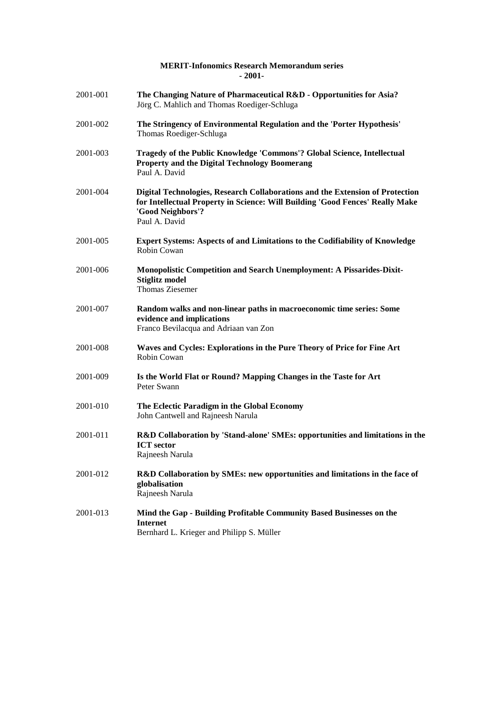#### **MERIT-Infonomics Research Memorandum series - 2001-**

| 2001-001 | The Changing Nature of Pharmaceutical R&D - Opportunities for Asia?<br>Jörg C. Mahlich and Thomas Roediger-Schluga                                                                                   |
|----------|------------------------------------------------------------------------------------------------------------------------------------------------------------------------------------------------------|
| 2001-002 | The Stringency of Environmental Regulation and the 'Porter Hypothesis'<br>Thomas Roediger-Schluga                                                                                                    |
| 2001-003 | Tragedy of the Public Knowledge 'Commons'? Global Science, Intellectual<br>Property and the Digital Technology Boomerang<br>Paul A. David                                                            |
| 2001-004 | Digital Technologies, Research Collaborations and the Extension of Protection<br>for Intellectual Property in Science: Will Building 'Good Fences' Really Make<br>'Good Neighbors'?<br>Paul A. David |
| 2001-005 | <b>Expert Systems: Aspects of and Limitations to the Codifiability of Knowledge</b><br>Robin Cowan                                                                                                   |
| 2001-006 | Monopolistic Competition and Search Unemployment: A Pissarides-Dixit-<br><b>Stiglitz model</b><br>Thomas Ziesemer                                                                                    |
| 2001-007 | Random walks and non-linear paths in macroeconomic time series: Some<br>evidence and implications<br>Franco Bevilacqua and Adriaan van Zon                                                           |
| 2001-008 | Waves and Cycles: Explorations in the Pure Theory of Price for Fine Art<br>Robin Cowan                                                                                                               |
| 2001-009 | Is the World Flat or Round? Mapping Changes in the Taste for Art<br>Peter Swann                                                                                                                      |
| 2001-010 | The Eclectic Paradigm in the Global Economy<br>John Cantwell and Rajneesh Narula                                                                                                                     |
| 2001-011 | R&D Collaboration by 'Stand-alone' SMEs: opportunities and limitations in the<br><b>ICT</b> sector<br>Rajneesh Narula                                                                                |
| 2001-012 | R&D Collaboration by SMEs: new opportunities and limitations in the face of<br>globalisation<br>Rajneesh Narula                                                                                      |
| 2001-013 | Mind the Gap - Building Profitable Community Based Businesses on the<br><b>Internet</b><br>Bernhard L. Krieger and Philipp S. Müller                                                                 |